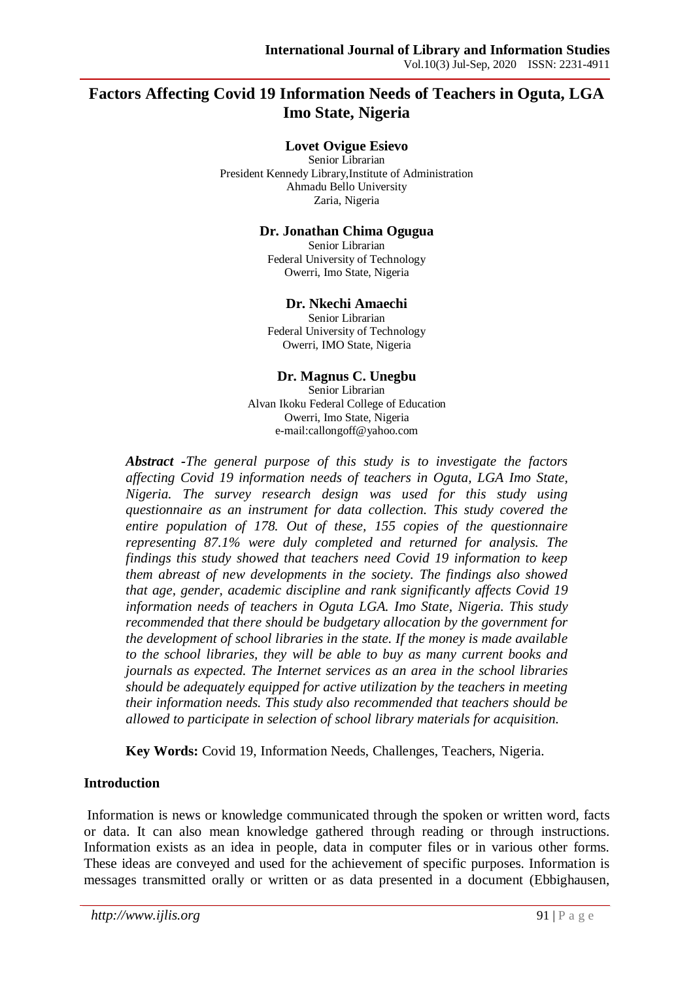# **Factors Affecting Covid 19 Information Needs of Teachers in Oguta, LGA Imo State, Nigeria**

### **Lovet Ovigue Esievo**

Senior Librarian President Kennedy Library,Institute of Administration Ahmadu Bello University Zaria, Nigeria

#### **Dr. Jonathan Chima Ogugua**

Senior Librarian Federal University of Technology Owerri, Imo State, Nigeria

#### **Dr. Nkechi Amaechi**

Senior Librarian Federal University of Technology Owerri, IMO State, Nigeria

### **Dr. Magnus C. Unegbu**

Senior Librarian Alvan Ikoku Federal College of Education Owerri, Imo State, Nigeria e-mail:callongoff@yahoo.com

*Abstract -The general purpose of this study is to investigate the factors affecting Covid 19 information needs of teachers in Oguta, LGA Imo State, Nigeria. The survey research design was used for this study using questionnaire as an instrument for data collection. This study covered the entire population of 178. Out of these, 155 copies of the questionnaire representing 87.1% were duly completed and returned for analysis. The findings this study showed that teachers need Covid 19 information to keep them abreast of new developments in the society. The findings also showed that age, gender, academic discipline and rank significantly affects Covid 19 information needs of teachers in Oguta LGA. Imo State, Nigeria. This study recommended that there should be budgetary allocation by the government for the development of school libraries in the state. If the money is made available to the school libraries, they will be able to buy as many current books and journals as expected. The Internet services as an area in the school libraries should be adequately equipped for active utilization by the teachers in meeting their information needs. This study also recommended that teachers should be allowed to participate in selection of school library materials for acquisition.*

**Key Words:** Covid 19, Information Needs, Challenges, Teachers, Nigeria.

### **Introduction**

Information is news or knowledge communicated through the spoken or written word, facts or data. It can also mean knowledge gathered through reading or through instructions. Information exists as an idea in people, data in computer files or in various other forms. These ideas are conveyed and used for the achievement of specific purposes. Information is messages transmitted orally or written or as data presented in a document (Ebbighausen,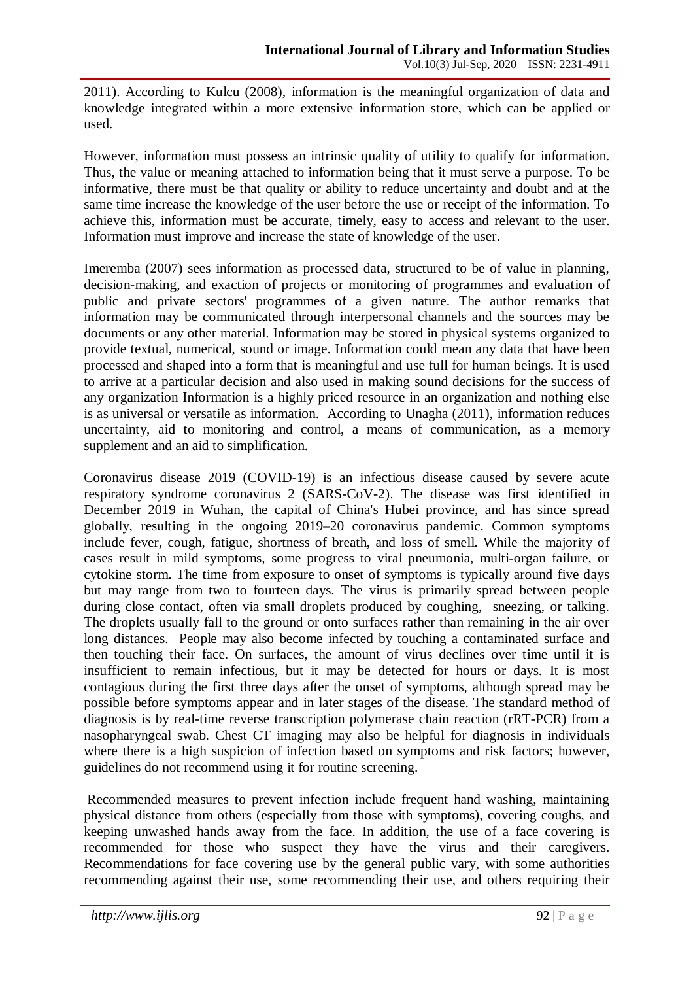2011). According to Kulcu (2008), information is the meaningful organization of data and knowledge integrated within a more extensive information store, which can be applied or used.

However, information must possess an intrinsic quality of utility to qualify for information. Thus, the value or meaning attached to information being that it must serve a purpose. To be informative, there must be that quality or ability to reduce uncertainty and doubt and at the same time increase the knowledge of the user before the use or receipt of the information. To achieve this, information must be accurate, timely, easy to access and relevant to the user. Information must improve and increase the state of knowledge of the user.

Imeremba (2007) sees information as processed data, structured to be of value in planning, decision-making, and exaction of projects or monitoring of programmes and evaluation of public and private sectors' programmes of a given nature. The author remarks that information may be communicated through interpersonal channels and the sources may be documents or any other material. Information may be stored in physical systems organized to provide textual, numerical, sound or image. Information could mean any data that have been processed and shaped into a form that is meaningful and use full for human beings. It is used to arrive at a particular decision and also used in making sound decisions for the success of any organization Information is a highly priced resource in an organization and nothing else is as universal or versatile as information. According to Unagha (2011), information reduces uncertainty, aid to monitoring and control, a means of communication, as a memory supplement and an aid to simplification.

Coronavirus disease 2019 (COVID-19) is an infectious disease caused by severe acute respiratory syndrome coronavirus 2 (SARS-CoV-2). The disease was first identified in December 2019 in Wuhan, the capital of China's Hubei province, and has since spread globally, resulting in the ongoing 2019–20 coronavirus pandemic. Common symptoms include fever, cough, fatigue, shortness of breath, and loss of smell. While the majority of cases result in mild symptoms, some progress to viral pneumonia, multi-organ failure, or cytokine storm. The time from exposure to onset of symptoms is typically around five days but may range from two to fourteen days. The virus is primarily spread between people during close contact, often via small droplets produced by coughing, sneezing, or talking. The droplets usually fall to the ground or onto surfaces rather than remaining in the air over long distances. People may also become infected by touching a contaminated surface and then touching their face. On surfaces, the amount of virus declines over time until it is insufficient to remain infectious, but it may be detected for hours or days. It is most contagious during the first three days after the onset of symptoms, although spread may be possible before symptoms appear and in later stages of the disease. The standard method of diagnosis is by real-time reverse transcription polymerase chain reaction (rRT-PCR) from a nasopharyngeal swab. Chest CT imaging may also be helpful for diagnosis in individuals where there is a high suspicion of infection based on symptoms and risk factors; however, guidelines do not recommend using it for routine screening.

Recommended measures to prevent infection include frequent hand washing, maintaining physical distance from others (especially from those with symptoms), covering coughs, and keeping unwashed hands away from the face. In addition, the use of a face covering is recommended for those who suspect they have the virus and their caregivers. Recommendations for face covering use by the general public vary, with some authorities recommending against their use, some recommending their use, and others requiring their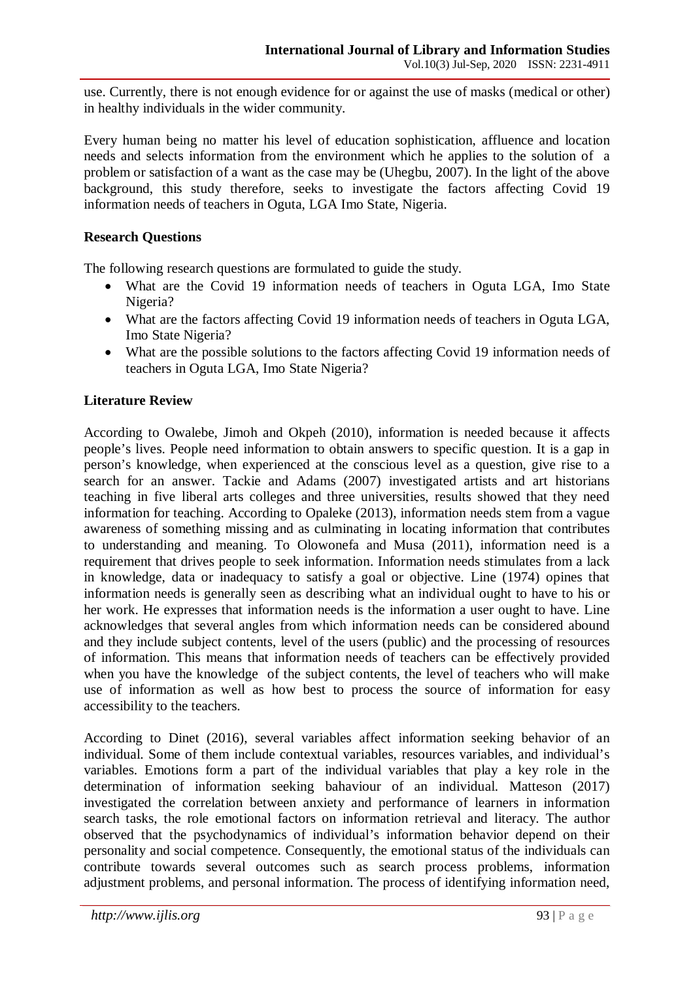use. Currently, there is not enough evidence for or against the use of masks (medical or other) in healthy individuals in the wider community.

Every human being no matter his level of education sophistication, affluence and location needs and selects information from the environment which he applies to the solution of a problem or satisfaction of a want as the case may be (Uhegbu, 2007). In the light of the above background, this study therefore, seeks to investigate the factors affecting Covid 19 information needs of teachers in Oguta, LGA Imo State, Nigeria.

## **Research Questions**

The following research questions are formulated to guide the study.

- What are the Covid 19 information needs of teachers in Oguta LGA, Imo State Nigeria?
- What are the factors affecting Covid 19 information needs of teachers in Oguta LGA, Imo State Nigeria?
- What are the possible solutions to the factors affecting Covid 19 information needs of teachers in Oguta LGA, Imo State Nigeria?

### **Literature Review**

According to Owalebe, Jimoh and Okpeh (2010), information is needed because it affects people's lives. People need information to obtain answers to specific question. It is a gap in person's knowledge, when experienced at the conscious level as a question, give rise to a search for an answer. Tackie and Adams (2007) investigated artists and art historians teaching in five liberal arts colleges and three universities, results showed that they need information for teaching. According to Opaleke (2013), information needs stem from a vague awareness of something missing and as culminating in locating information that contributes to understanding and meaning. To Olowonefa and Musa (2011), information need is a requirement that drives people to seek information. Information needs stimulates from a lack in knowledge, data or inadequacy to satisfy a goal or objective. Line (1974) opines that information needs is generally seen as describing what an individual ought to have to his or her work. He expresses that information needs is the information a user ought to have. Line acknowledges that several angles from which information needs can be considered abound and they include subject contents, level of the users (public) and the processing of resources of information. This means that information needs of teachers can be effectively provided when you have the knowledge of the subject contents, the level of teachers who will make use of information as well as how best to process the source of information for easy accessibility to the teachers.

According to Dinet (2016), several variables affect information seeking behavior of an individual. Some of them include contextual variables, resources variables, and individual's variables. Emotions form a part of the individual variables that play a key role in the determination of information seeking bahaviour of an individual. Matteson (2017) investigated the correlation between anxiety and performance of learners in information search tasks, the role emotional factors on information retrieval and literacy. The author observed that the psychodynamics of individual's information behavior depend on their personality and social competence. Consequently, the emotional status of the individuals can contribute towards several outcomes such as search process problems, information adjustment problems, and personal information. The process of identifying information need,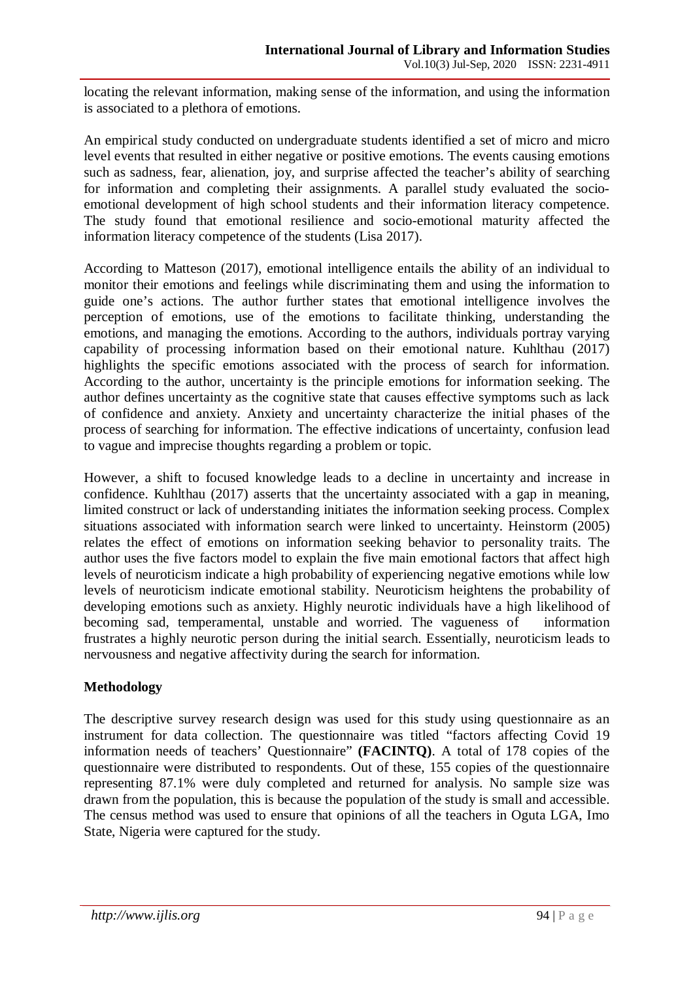locating the relevant information, making sense of the information, and using the information is associated to a plethora of emotions.

An empirical study conducted on undergraduate students identified a set of micro and micro level events that resulted in either negative or positive emotions. The events causing emotions such as sadness, fear, alienation, joy, and surprise affected the teacher's ability of searching for information and completing their assignments. A parallel study evaluated the socioemotional development of high school students and their information literacy competence. The study found that emotional resilience and socio-emotional maturity affected the information literacy competence of the students (Lisa 2017).

According to Matteson (2017), emotional intelligence entails the ability of an individual to monitor their emotions and feelings while discriminating them and using the information to guide one's actions. The author further states that emotional intelligence involves the perception of emotions, use of the emotions to facilitate thinking, understanding the emotions, and managing the emotions. According to the authors, individuals portray varying capability of processing information based on their emotional nature. Kuhlthau (2017) highlights the specific emotions associated with the process of search for information. According to the author, uncertainty is the principle emotions for information seeking. The author defines uncertainty as the cognitive state that causes effective symptoms such as lack of confidence and anxiety. Anxiety and uncertainty characterize the initial phases of the process of searching for information. The effective indications of uncertainty, confusion lead to vague and imprecise thoughts regarding a problem or topic.

However, a shift to focused knowledge leads to a decline in uncertainty and increase in confidence. Kuhlthau (2017) asserts that the uncertainty associated with a gap in meaning, limited construct or lack of understanding initiates the information seeking process. Complex situations associated with information search were linked to uncertainty. Heinstorm (2005) relates the effect of emotions on information seeking behavior to personality traits. The author uses the five factors model to explain the five main emotional factors that affect high levels of neuroticism indicate a high probability of experiencing negative emotions while low levels of neuroticism indicate emotional stability. Neuroticism heightens the probability of developing emotions such as anxiety. Highly neurotic individuals have a high likelihood of becoming sad, temperamental, unstable and worried. The vagueness of information frustrates a highly neurotic person during the initial search. Essentially, neuroticism leads to nervousness and negative affectivity during the search for information.

# **Methodology**

The descriptive survey research design was used for this study using questionnaire as an instrument for data collection. The questionnaire was titled "factors affecting Covid 19 information needs of teachers' Questionnaire" **(FACINTQ)**. A total of 178 copies of the questionnaire were distributed to respondents. Out of these, 155 copies of the questionnaire representing 87.1% were duly completed and returned for analysis. No sample size was drawn from the population, this is because the population of the study is small and accessible. The census method was used to ensure that opinions of all the teachers in Oguta LGA, Imo State, Nigeria were captured for the study.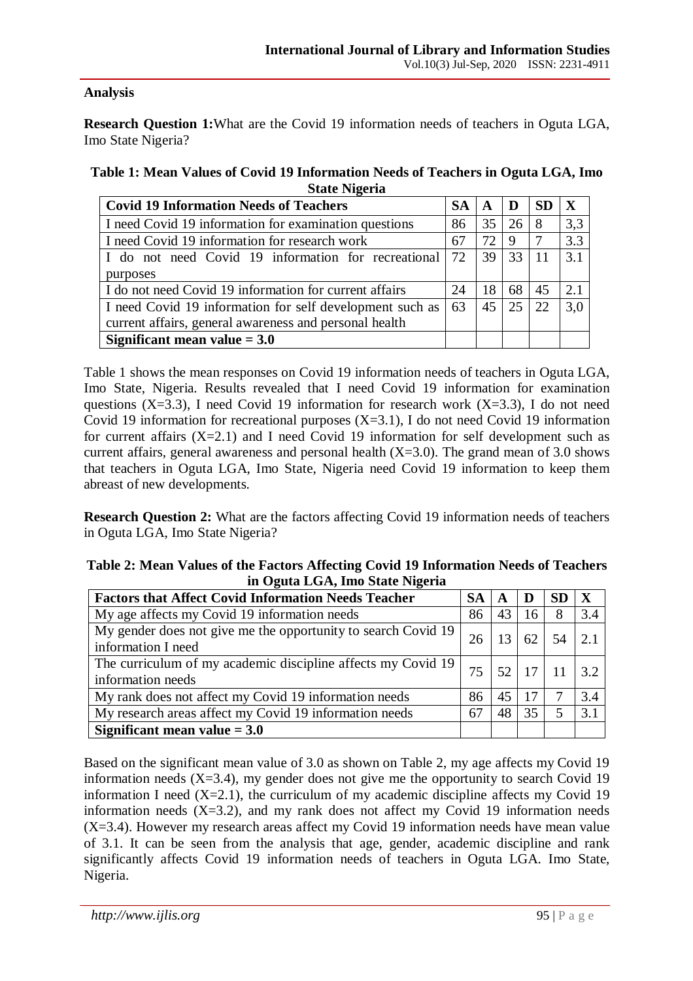# **Analysis**

**Research Question 1:**What are the Covid 19 information needs of teachers in Oguta LGA, Imo State Nigeria?

| Table 1: Mean Values of Covid 19 Information Needs of Teachers in Oguta LGA, Imo |
|----------------------------------------------------------------------------------|
| <b>State Nigeria</b>                                                             |

| <b>Covid 19 Information Needs of Teachers</b>            | <b>SA</b> | A  | D  | <b>SD</b> | $\mathbf{x}$      |
|----------------------------------------------------------|-----------|----|----|-----------|-------------------|
| I need Covid 19 information for examination questions    | 86        | 35 | 26 | 8         | 3,3               |
| I need Covid 19 information for research work            | 67        | 72 | 9  |           | 3.3               |
| I do not need Covid 19 information for recreational      | 72        | 39 | 33 |           | $\vert 3.1 \vert$ |
| purposes                                                 |           |    |    |           |                   |
| I do not need Covid 19 information for current affairs   | 24        | 18 | 68 | 45        | 2.1               |
| I need Covid 19 information for self development such as | 63        | 45 | 25 | 22        | 3,0               |
| current affairs, general awareness and personal health   |           |    |    |           |                   |
| Significant mean value $= 3.0$                           |           |    |    |           |                   |

Table 1 shows the mean responses on Covid 19 information needs of teachers in Oguta LGA, Imo State, Nigeria. Results revealed that I need Covid 19 information for examination questions (X=3.3), I need Covid 19 information for research work (X=3.3), I do not need Covid 19 information for recreational purposes  $(X=3.1)$ , I do not need Covid 19 information for current affairs  $(X=2.1)$  and I need Covid 19 information for self development such as current affairs, general awareness and personal health  $(X=3.0)$ . The grand mean of 3.0 shows that teachers in Oguta LGA, Imo State, Nigeria need Covid 19 information to keep them abreast of new developments.

**Research Question 2:** What are the factors affecting Covid 19 information needs of teachers in Oguta LGA, Imo State Nigeria?

| Table 2: Mean Values of the Factors Affecting Covid 19 Information Needs of Teachers |
|--------------------------------------------------------------------------------------|
| in Oguta LGA, Imo State Nigeria                                                      |

| <b>Factors that Affect Covid Information Needs Teacher</b>                          | <b>SA</b> | A  | Ð  | <b>SD</b> | X              |
|-------------------------------------------------------------------------------------|-----------|----|----|-----------|----------------|
| My age affects my Covid 19 information needs                                        | 86        | 43 | 16 | 8         | 3.4            |
| My gender does not give me the opportunity to search Covid 19<br>information I need | 26        |    |    |           | 2 <sub>1</sub> |
| The curriculum of my academic discipline affects my Covid 19<br>information needs   | 75        | 52 | 17 |           | 3.2            |
| My rank does not affect my Covid 19 information needs                               | 86        | 45 | 17 |           | 3.4            |
| My research areas affect my Covid 19 information needs                              | 67        | 48 | 35 | 5         | 3.1            |
| Significant mean value $= 3.0$                                                      |           |    |    |           |                |

Based on the significant mean value of 3.0 as shown on Table 2, my age affects my Covid 19 information needs  $(X=3.4)$ , my gender does not give me the opportunity to search Covid 19 information I need  $(X=2.1)$ , the curriculum of my academic discipline affects my Covid 19 information needs  $(X=3.2)$ , and my rank does not affect my Covid 19 information needs  $(X=3.4)$ . However my research areas affect my Covid 19 information needs have mean value of 3.1. It can be seen from the analysis that age, gender, academic discipline and rank significantly affects Covid 19 information needs of teachers in Oguta LGA. Imo State, Nigeria.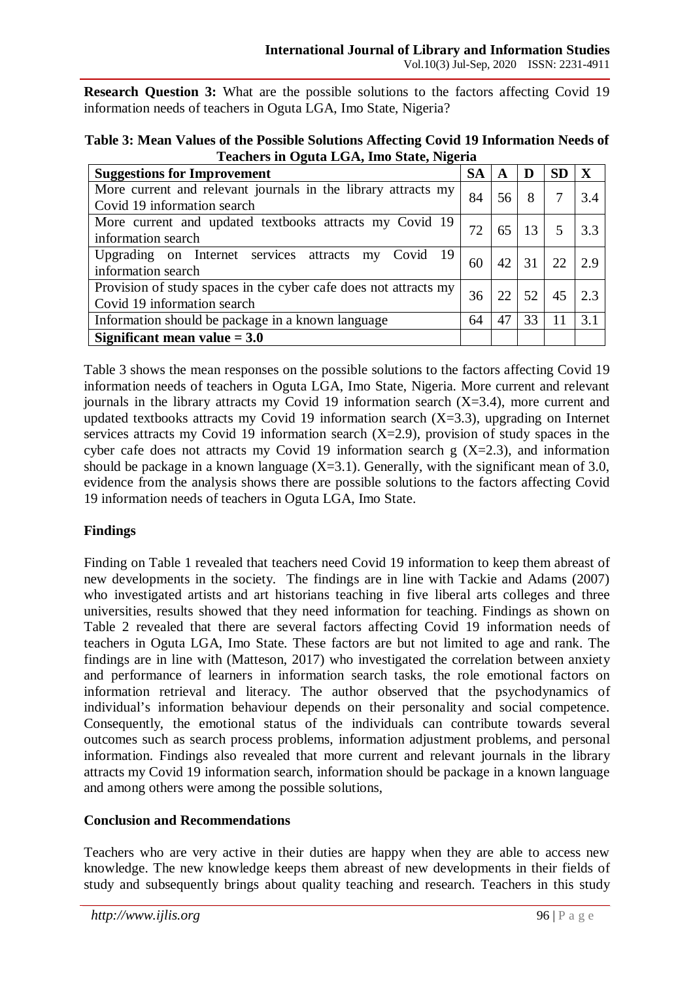**Research Question 3:** What are the possible solutions to the factors affecting Covid 19 information needs of teachers in Oguta LGA, Imo State, Nigeria?

| Table 3: Mean Values of the Possible Solutions Affecting Covid 19 Information Needs of |
|----------------------------------------------------------------------------------------|
| Teachers in Oguta LGA, Imo State, Nigeria                                              |

| <b>Suggestions for Improvement</b>                               | <b>SA</b> | A  | D  | <b>SD</b> | $\mathbf{X}$ |
|------------------------------------------------------------------|-----------|----|----|-----------|--------------|
| More current and relevant journals in the library attracts my    | 84        | 56 | 8  |           | 3.4          |
| Covid 19 information search                                      |           |    |    |           |              |
| More current and updated textbooks attracts my Covid 19          | 72        | 65 | 13 | 5         | 3.3          |
| information search                                               |           |    |    |           |              |
| Upgrading on Internet services attracts<br>my Covid 19           | 60        | 42 | 31 | 22        | 29           |
| information search                                               |           |    |    |           |              |
| Provision of study spaces in the cyber cafe does not attracts my | 36        | 22 | 52 | 45        | 23           |
| Covid 19 information search                                      |           |    |    |           |              |
| Information should be package in a known language                | 64        | 47 | 33 | 11        | 3.1          |
| Significant mean value $= 3.0$                                   |           |    |    |           |              |

Table 3 shows the mean responses on the possible solutions to the factors affecting Covid 19 information needs of teachers in Oguta LGA, Imo State, Nigeria. More current and relevant journals in the library attracts my Covid 19 information search  $(X=3.4)$ , more current and updated textbooks attracts my Covid 19 information search  $(X=3.3)$ , upgrading on Internet services attracts my Covid 19 information search  $(X=2.9)$ , provision of study spaces in the cyber cafe does not attracts my Covid 19 information search  $g$  (X=2.3), and information should be package in a known language  $(X=3.1)$ . Generally, with the significant mean of 3.0, evidence from the analysis shows there are possible solutions to the factors affecting Covid 19 information needs of teachers in Oguta LGA, Imo State.

# **Findings**

Finding on Table 1 revealed that teachers need Covid 19 information to keep them abreast of new developments in the society. The findings are in line with Tackie and Adams (2007) who investigated artists and art historians teaching in five liberal arts colleges and three universities, results showed that they need information for teaching. Findings as shown on Table 2 revealed that there are several factors affecting Covid 19 information needs of teachers in Oguta LGA, Imo State. These factors are but not limited to age and rank. The findings are in line with (Matteson, 2017) who investigated the correlation between anxiety and performance of learners in information search tasks, the role emotional factors on information retrieval and literacy. The author observed that the psychodynamics of individual's information behaviour depends on their personality and social competence. Consequently, the emotional status of the individuals can contribute towards several outcomes such as search process problems, information adjustment problems, and personal information. Findings also revealed that more current and relevant journals in the library attracts my Covid 19 information search, information should be package in a known language and among others were among the possible solutions,

# **Conclusion and Recommendations**

Teachers who are very active in their duties are happy when they are able to access new knowledge. The new knowledge keeps them abreast of new developments in their fields of study and subsequently brings about quality teaching and research. Teachers in this study